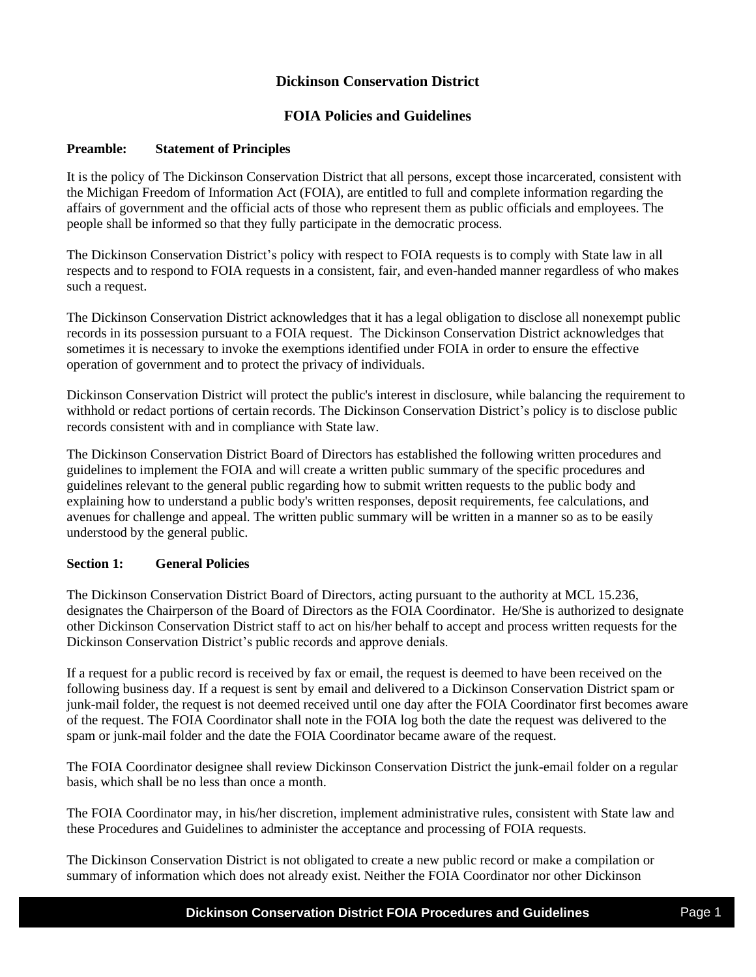# **Dickinson Conservation District**

# **FOIA Policies and Guidelines**

### **Preamble: Statement of Principles**

It is the policy of The Dickinson Conservation District that all persons, except those incarcerated, consistent with the Michigan Freedom of Information Act (FOIA), are entitled to full and complete information regarding the affairs of government and the official acts of those who represent them as public officials and employees. The people shall be informed so that they fully participate in the democratic process.

The Dickinson Conservation District's policy with respect to FOIA requests is to comply with State law in all respects and to respond to FOIA requests in a consistent, fair, and even-handed manner regardless of who makes such a request.

The Dickinson Conservation District acknowledges that it has a legal obligation to disclose all nonexempt public records in its possession pursuant to a FOIA request. The Dickinson Conservation District acknowledges that sometimes it is necessary to invoke the exemptions identified under FOIA in order to ensure the effective operation of government and to protect the privacy of individuals.

Dickinson Conservation District will protect the public's interest in disclosure, while balancing the requirement to withhold or redact portions of certain records. The Dickinson Conservation District's policy is to disclose public records consistent with and in compliance with State law.

The Dickinson Conservation District Board of Directors has established the following written procedures and guidelines to implement the FOIA and will create a written public summary of the specific procedures and guidelines relevant to the general public regarding how to submit written requests to the public body and explaining how to understand a public body's written responses, deposit requirements, fee calculations, and avenues for challenge and appeal. The written public summary will be written in a manner so as to be easily understood by the general public.

### **Section 1: General Policies**

The Dickinson Conservation District Board of Directors, acting pursuant to the authority at MCL 15.236, designates the Chairperson of the Board of Directors as the FOIA Coordinator. He/She is authorized to designate other Dickinson Conservation District staff to act on his/her behalf to accept and process written requests for the Dickinson Conservation District's public records and approve denials.

If a request for a public record is received by fax or email, the request is deemed to have been received on the following business day. If a request is sent by email and delivered to a Dickinson Conservation District spam or junk-mail folder, the request is not deemed received until one day after the FOIA Coordinator first becomes aware of the request. The FOIA Coordinator shall note in the FOIA log both the date the request was delivered to the spam or junk-mail folder and the date the FOIA Coordinator became aware of the request.

The FOIA Coordinator designee shall review Dickinson Conservation District the junk-email folder on a regular basis, which shall be no less than once a month.

The FOIA Coordinator may, in his/her discretion, implement administrative rules, consistent with State law and these Procedures and Guidelines to administer the acceptance and processing of FOIA requests.

The Dickinson Conservation District is not obligated to create a new public record or make a compilation or summary of information which does not already exist. Neither the FOIA Coordinator nor other Dickinson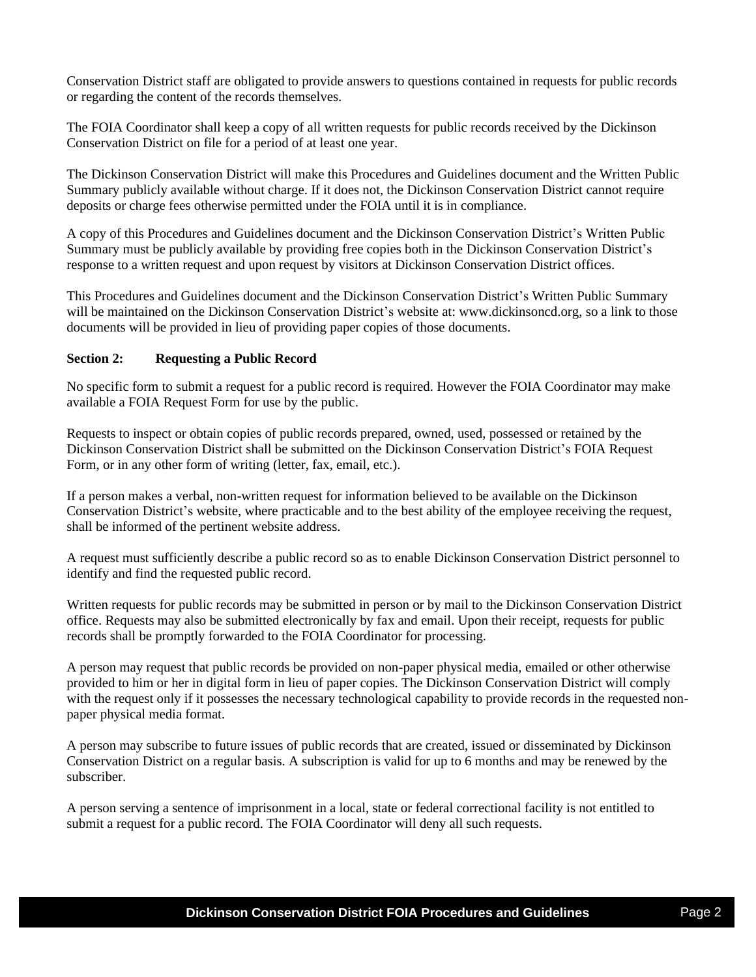Conservation District staff are obligated to provide answers to questions contained in requests for public records or regarding the content of the records themselves.

The FOIA Coordinator shall keep a copy of all written requests for public records received by the Dickinson Conservation District on file for a period of at least one year.

The Dickinson Conservation District will make this Procedures and Guidelines document and the Written Public Summary publicly available without charge. If it does not, the Dickinson Conservation District cannot require deposits or charge fees otherwise permitted under the FOIA until it is in compliance.

A copy of this Procedures and Guidelines document and the Dickinson Conservation District's Written Public Summary must be publicly available by providing free copies both in the Dickinson Conservation District's response to a written request and upon request by visitors at Dickinson Conservation District offices.

This Procedures and Guidelines document and the Dickinson Conservation District's Written Public Summary will be maintained on the Dickinson Conservation District's website at: www.dickinsoncd.org, so a link to those documents will be provided in lieu of providing paper copies of those documents.

### **Section 2: Requesting a Public Record**

No specific form to submit a request for a public record is required. However the FOIA Coordinator may make available a FOIA Request Form for use by the public.

Requests to inspect or obtain copies of public records prepared, owned, used, possessed or retained by the Dickinson Conservation District shall be submitted on the Dickinson Conservation District's FOIA Request Form, or in any other form of writing (letter, fax, email, etc.).

If a person makes a verbal, non-written request for information believed to be available on the Dickinson Conservation District's website, where practicable and to the best ability of the employee receiving the request, shall be informed of the pertinent website address.

A request must sufficiently describe a public record so as to enable Dickinson Conservation District personnel to identify and find the requested public record.

Written requests for public records may be submitted in person or by mail to the Dickinson Conservation District office. Requests may also be submitted electronically by fax and email. Upon their receipt, requests for public records shall be promptly forwarded to the FOIA Coordinator for processing.

A person may request that public records be provided on non-paper physical media, emailed or other otherwise provided to him or her in digital form in lieu of paper copies. The Dickinson Conservation District will comply with the request only if it possesses the necessary technological capability to provide records in the requested nonpaper physical media format.

A person may subscribe to future issues of public records that are created, issued or disseminated by Dickinson Conservation District on a regular basis. A subscription is valid for up to 6 months and may be renewed by the subscriber.

A person serving a sentence of imprisonment in a local, state or federal correctional facility is not entitled to submit a request for a public record. The FOIA Coordinator will deny all such requests.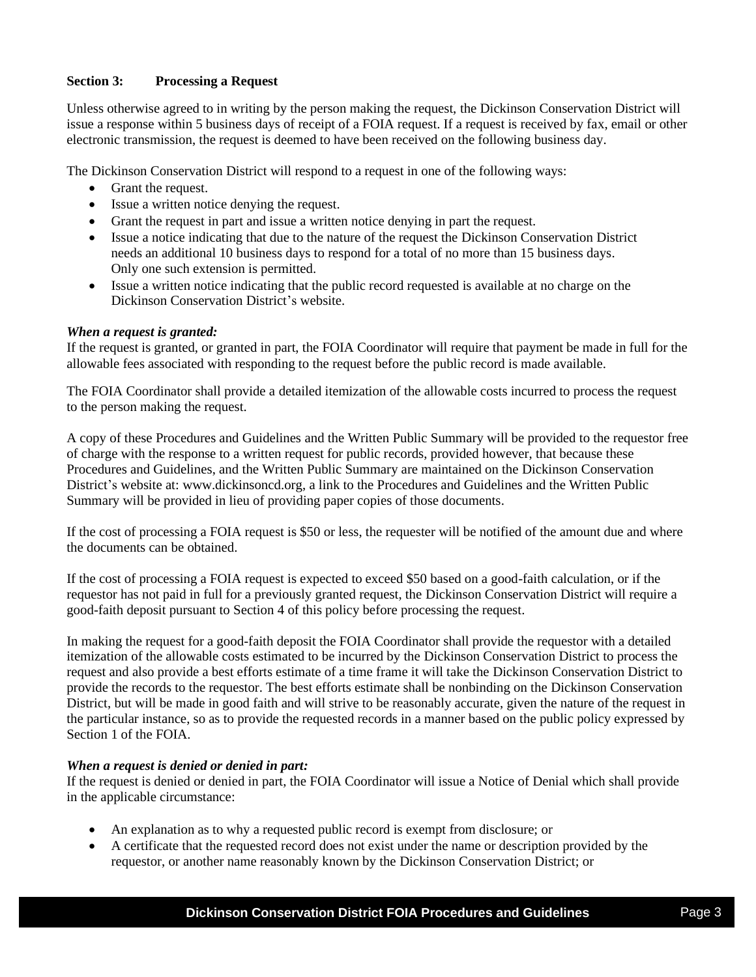## **Section 3: Processing a Request**

Unless otherwise agreed to in writing by the person making the request, the Dickinson Conservation District will issue a response within 5 business days of receipt of a FOIA request. If a request is received by fax, email or other electronic transmission, the request is deemed to have been received on the following business day.

The Dickinson Conservation District will respond to a request in one of the following ways:

- Grant the request.
- Issue a written notice denying the request.
- Grant the request in part and issue a written notice denying in part the request.
- Issue a notice indicating that due to the nature of the request the Dickinson Conservation District needs an additional 10 business days to respond for a total of no more than 15 business days. Only one such extension is permitted.
- Issue a written notice indicating that the public record requested is available at no charge on the Dickinson Conservation District's website.

#### *When a request is granted:*

If the request is granted, or granted in part, the FOIA Coordinator will require that payment be made in full for the allowable fees associated with responding to the request before the public record is made available.

The FOIA Coordinator shall provide a detailed itemization of the allowable costs incurred to process the request to the person making the request.

A copy of these Procedures and Guidelines and the Written Public Summary will be provided to the requestor free of charge with the response to a written request for public records, provided however, that because these Procedures and Guidelines, and the Written Public Summary are maintained on the Dickinson Conservation District's website at: www.dickinsoncd.org, a link to the Procedures and Guidelines and the Written Public Summary will be provided in lieu of providing paper copies of those documents.

If the cost of processing a FOIA request is \$50 or less, the requester will be notified of the amount due and where the documents can be obtained.

If the cost of processing a FOIA request is expected to exceed \$50 based on a good-faith calculation, or if the requestor has not paid in full for a previously granted request, the Dickinson Conservation District will require a good-faith deposit pursuant to Section 4 of this policy before processing the request.

In making the request for a good-faith deposit the FOIA Coordinator shall provide the requestor with a detailed itemization of the allowable costs estimated to be incurred by the Dickinson Conservation District to process the request and also provide a best efforts estimate of a time frame it will take the Dickinson Conservation District to provide the records to the requestor. The best efforts estimate shall be nonbinding on the Dickinson Conservation District, but will be made in good faith and will strive to be reasonably accurate, given the nature of the request in the particular instance, so as to provide the requested records in a manner based on the public policy expressed by Section 1 of the FOIA.

### *When a request is denied or denied in part:*

If the request is denied or denied in part, the FOIA Coordinator will issue a Notice of Denial which shall provide in the applicable circumstance:

- An explanation as to why a requested public record is exempt from disclosure; or
- A certificate that the requested record does not exist under the name or description provided by the requestor, or another name reasonably known by the Dickinson Conservation District; or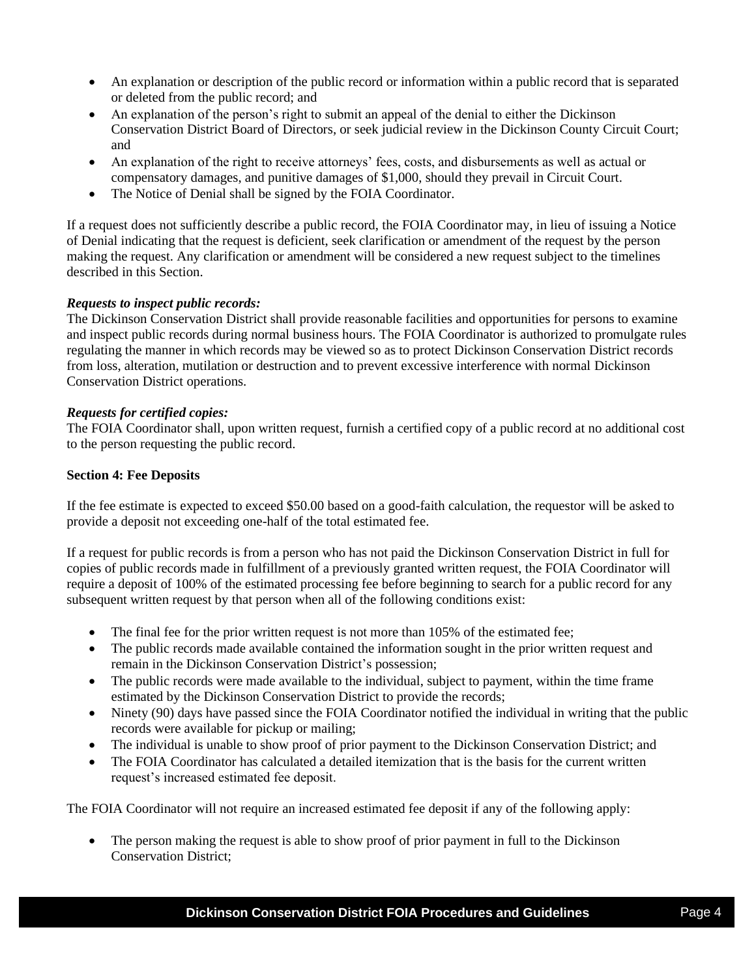- An explanation or description of the public record or information within a public record that is separated or deleted from the public record; and
- An explanation of the person's right to submit an appeal of the denial to either the Dickinson Conservation District Board of Directors, or seek judicial review in the Dickinson County Circuit Court; and
- An explanation of the right to receive attorneys' fees, costs, and disbursements as well as actual or compensatory damages, and punitive damages of \$1,000, should they prevail in Circuit Court.
- The Notice of Denial shall be signed by the FOIA Coordinator.

If a request does not sufficiently describe a public record, the FOIA Coordinator may, in lieu of issuing a Notice of Denial indicating that the request is deficient, seek clarification or amendment of the request by the person making the request. Any clarification or amendment will be considered a new request subject to the timelines described in this Section.

### *Requests to inspect public records:*

The Dickinson Conservation District shall provide reasonable facilities and opportunities for persons to examine and inspect public records during normal business hours. The FOIA Coordinator is authorized to promulgate rules regulating the manner in which records may be viewed so as to protect Dickinson Conservation District records from loss, alteration, mutilation or destruction and to prevent excessive interference with normal Dickinson Conservation District operations.

### *Requests for certified copies:*

The FOIA Coordinator shall, upon written request, furnish a certified copy of a public record at no additional cost to the person requesting the public record.

### **Section 4: Fee Deposits**

If the fee estimate is expected to exceed \$50.00 based on a good-faith calculation, the requestor will be asked to provide a deposit not exceeding one-half of the total estimated fee.

If a request for public records is from a person who has not paid the Dickinson Conservation District in full for copies of public records made in fulfillment of a previously granted written request, the FOIA Coordinator will require a deposit of 100% of the estimated processing fee before beginning to search for a public record for any subsequent written request by that person when all of the following conditions exist:

- The final fee for the prior written request is not more than 105% of the estimated fee;
- The public records made available contained the information sought in the prior written request and remain in the Dickinson Conservation District's possession;
- The public records were made available to the individual, subject to payment, within the time frame estimated by the Dickinson Conservation District to provide the records;
- Ninety (90) days have passed since the FOIA Coordinator notified the individual in writing that the public records were available for pickup or mailing;
- The individual is unable to show proof of prior payment to the Dickinson Conservation District; and
- The FOIA Coordinator has calculated a detailed itemization that is the basis for the current written request's increased estimated fee deposit.

The FOIA Coordinator will not require an increased estimated fee deposit if any of the following apply:

• The person making the request is able to show proof of prior payment in full to the Dickinson Conservation District;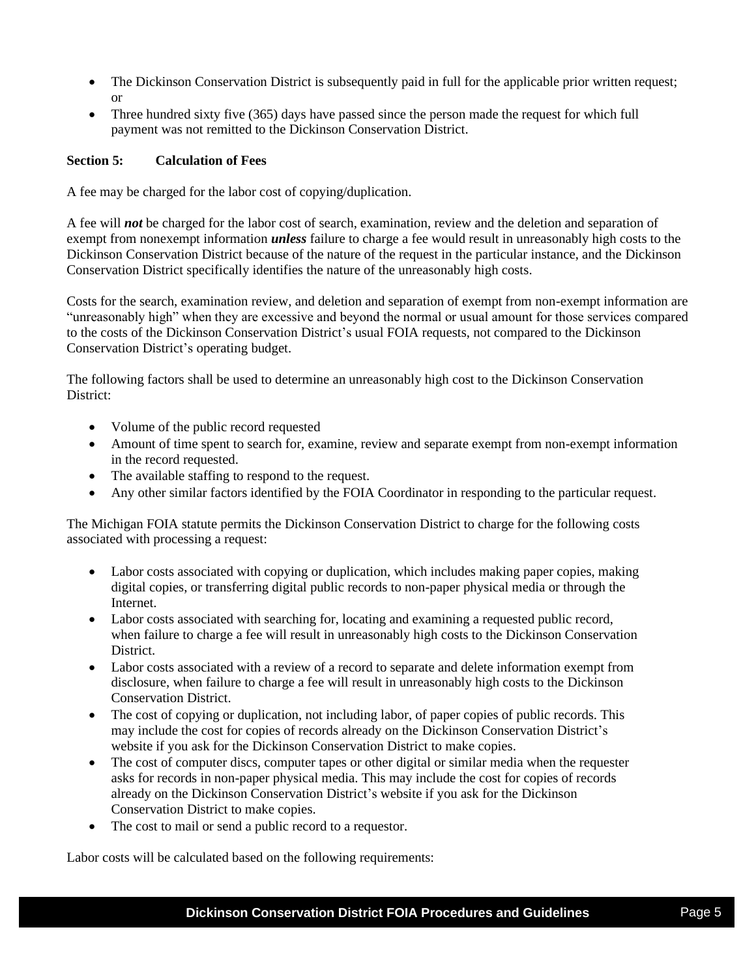- The Dickinson Conservation District is subsequently paid in full for the applicable prior written request; or
- Three hundred sixty five (365) days have passed since the person made the request for which full payment was not remitted to the Dickinson Conservation District.

## **Section 5: Calculation of Fees**

A fee may be charged for the labor cost of copying/duplication.

A fee will *not* be charged for the labor cost of search, examination, review and the deletion and separation of exempt from nonexempt information *unless* failure to charge a fee would result in unreasonably high costs to the Dickinson Conservation District because of the nature of the request in the particular instance, and the Dickinson Conservation District specifically identifies the nature of the unreasonably high costs.

Costs for the search, examination review, and deletion and separation of exempt from non-exempt information are "unreasonably high" when they are excessive and beyond the normal or usual amount for those services compared to the costs of the Dickinson Conservation District's usual FOIA requests, not compared to the Dickinson Conservation District's operating budget.

The following factors shall be used to determine an unreasonably high cost to the Dickinson Conservation District:

- Volume of the public record requested
- Amount of time spent to search for, examine, review and separate exempt from non-exempt information in the record requested.
- The available staffing to respond to the request.
- Any other similar factors identified by the FOIA Coordinator in responding to the particular request.

The Michigan FOIA statute permits the Dickinson Conservation District to charge for the following costs associated with processing a request:

- Labor costs associated with copying or duplication, which includes making paper copies, making digital copies, or transferring digital public records to non-paper physical media or through the **Internet**
- Labor costs associated with searching for, locating and examining a requested public record, when failure to charge a fee will result in unreasonably high costs to the Dickinson Conservation District.
- Labor costs associated with a review of a record to separate and delete information exempt from disclosure, when failure to charge a fee will result in unreasonably high costs to the Dickinson Conservation District.
- The cost of copying or duplication, not including labor, of paper copies of public records. This may include the cost for copies of records already on the Dickinson Conservation District's website if you ask for the Dickinson Conservation District to make copies.
- The cost of computer discs, computer tapes or other digital or similar media when the requester asks for records in non-paper physical media. This may include the cost for copies of records already on the Dickinson Conservation District's website if you ask for the Dickinson Conservation District to make copies.
- The cost to mail or send a public record to a requestor.

Labor costs will be calculated based on the following requirements: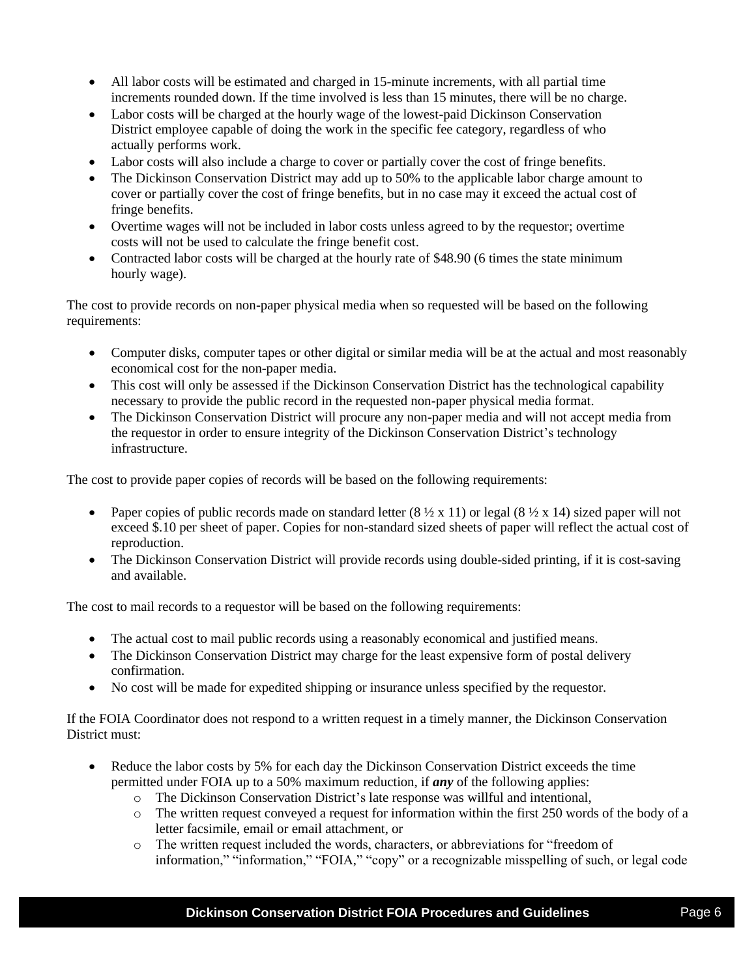- All labor costs will be estimated and charged in 15-minute increments, with all partial time increments rounded down. If the time involved is less than 15 minutes, there will be no charge.
- Labor costs will be charged at the hourly wage of the lowest-paid Dickinson Conservation District employee capable of doing the work in the specific fee category, regardless of who actually performs work.
- Labor costs will also include a charge to cover or partially cover the cost of fringe benefits.
- The Dickinson Conservation District may add up to 50% to the applicable labor charge amount to cover or partially cover the cost of fringe benefits, but in no case may it exceed the actual cost of fringe benefits.
- Overtime wages will not be included in labor costs unless agreed to by the requestor; overtime costs will not be used to calculate the fringe benefit cost.
- Contracted labor costs will be charged at the hourly rate of \$48.90 (6 times the state minimum hourly wage).

The cost to provide records on non-paper physical media when so requested will be based on the following requirements:

- Computer disks, computer tapes or other digital or similar media will be at the actual and most reasonably economical cost for the non-paper media.
- This cost will only be assessed if the Dickinson Conservation District has the technological capability necessary to provide the public record in the requested non-paper physical media format.
- The Dickinson Conservation District will procure any non-paper media and will not accept media from the requestor in order to ensure integrity of the Dickinson Conservation District's technology infrastructure.

The cost to provide paper copies of records will be based on the following requirements:

- Paper copies of public records made on standard letter  $(8 \frac{1}{2} \times 11)$  or legal  $(8 \frac{1}{2} \times 14)$  sized paper will not exceed \$.10 per sheet of paper. Copies for non-standard sized sheets of paper will reflect the actual cost of reproduction.
- The Dickinson Conservation District will provide records using double-sided printing, if it is cost-saving and available.

The cost to mail records to a requestor will be based on the following requirements:

- The actual cost to mail public records using a reasonably economical and justified means.
- The Dickinson Conservation District may charge for the least expensive form of postal delivery confirmation.
- No cost will be made for expedited shipping or insurance unless specified by the requestor.

If the FOIA Coordinator does not respond to a written request in a timely manner, the Dickinson Conservation District must:

- Reduce the labor costs by 5% for each day the Dickinson Conservation District exceeds the time permitted under FOIA up to a 50% maximum reduction, if *any* of the following applies:
	- o The Dickinson Conservation District's late response was willful and intentional,
	- $\circ$  The written request conveyed a request for information within the first 250 words of the body of a letter facsimile, email or email attachment, or
	- o The written request included the words, characters, or abbreviations for "freedom of information," "information," "FOIA," "copy" or a recognizable misspelling of such, or legal code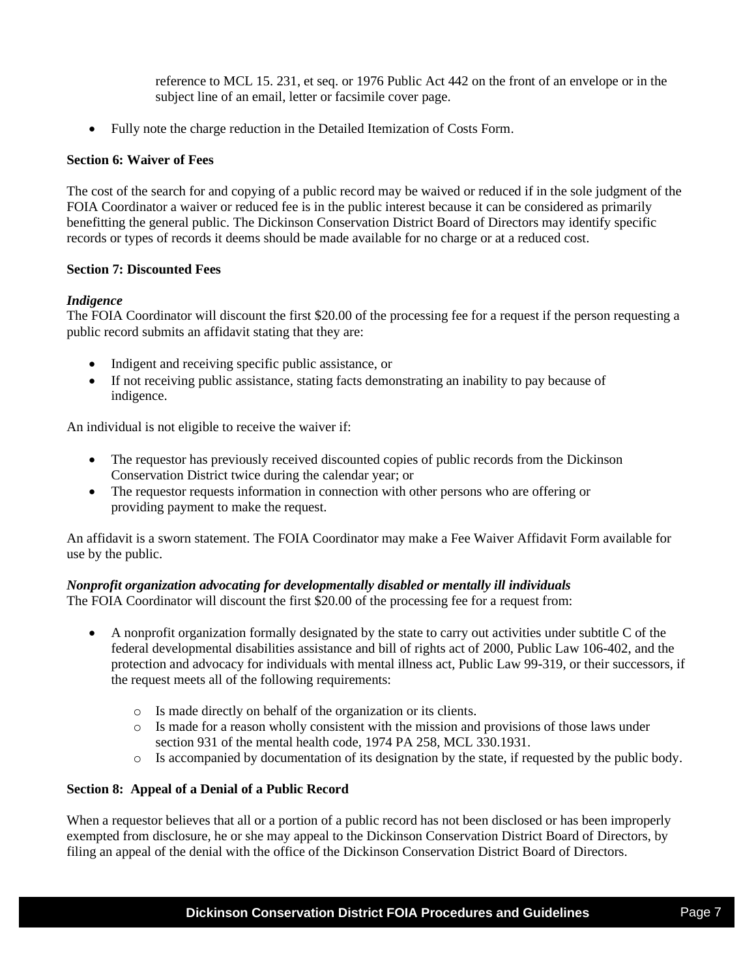reference to MCL 15. 231, et seq. or 1976 Public Act 442 on the front of an envelope or in the subject line of an email, letter or facsimile cover page.

• Fully note the charge reduction in the Detailed Itemization of Costs Form.

### **Section 6: Waiver of Fees**

The cost of the search for and copying of a public record may be waived or reduced if in the sole judgment of the FOIA Coordinator a waiver or reduced fee is in the public interest because it can be considered as primarily benefitting the general public. The Dickinson Conservation District Board of Directors may identify specific records or types of records it deems should be made available for no charge or at a reduced cost.

#### **Section 7: Discounted Fees**

#### *Indigence*

The FOIA Coordinator will discount the first \$20.00 of the processing fee for a request if the person requesting a public record submits an affidavit stating that they are:

- Indigent and receiving specific public assistance, or
- If not receiving public assistance, stating facts demonstrating an inability to pay because of indigence.

An individual is not eligible to receive the waiver if:

- The requestor has previously received discounted copies of public records from the Dickinson Conservation District twice during the calendar year; or
- The requestor requests information in connection with other persons who are offering or providing payment to make the request.

An affidavit is a sworn statement. The FOIA Coordinator may make a Fee Waiver Affidavit Form available for use by the public.

#### *Nonprofit organization advocating for developmentally disabled or mentally ill individuals*

The FOIA Coordinator will discount the first \$20.00 of the processing fee for a request from:

- A nonprofit organization formally designated by the state to carry out activities under subtitle C of the federal developmental disabilities assistance and bill of rights act of 2000, Public Law 106-402, and the protection and advocacy for individuals with mental illness act, Public Law 99-319, or their successors, if the request meets all of the following requirements:
	- o Is made directly on behalf of the organization or its clients.
	- o Is made for a reason wholly consistent with the mission and provisions of those laws under section 931 of the mental health code, 1974 PA 258, MCL 330.1931.
	- o Is accompanied by documentation of its designation by the state, if requested by the public body.

#### **Section 8: Appeal of a Denial of a Public Record**

When a requestor believes that all or a portion of a public record has not been disclosed or has been improperly exempted from disclosure, he or she may appeal to the Dickinson Conservation District Board of Directors, by filing an appeal of the denial with the office of the Dickinson Conservation District Board of Directors.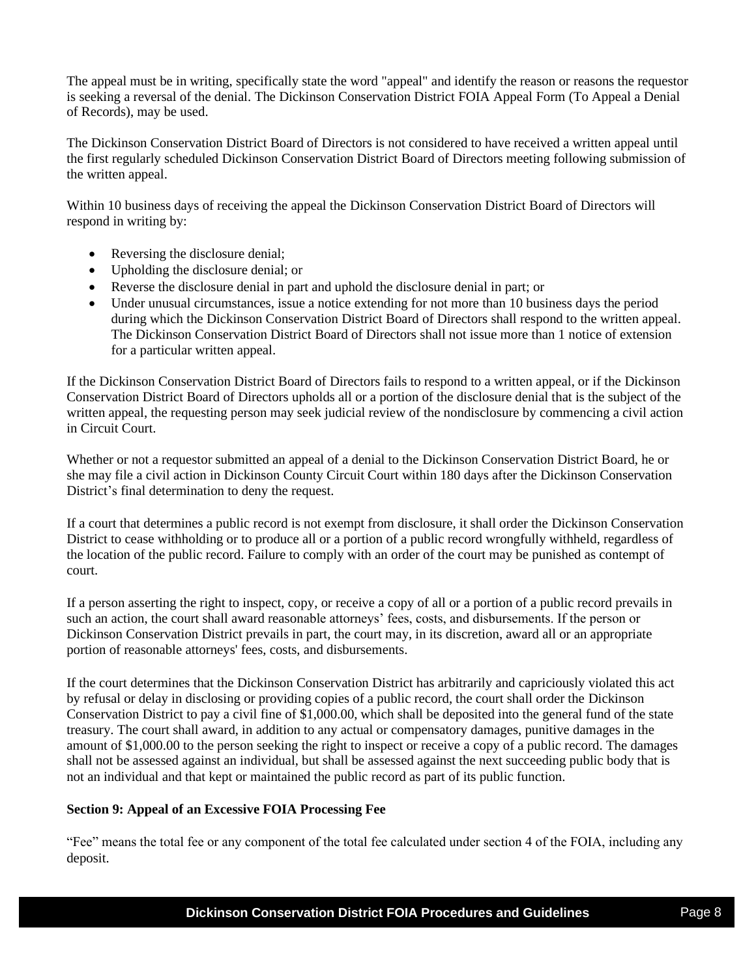The appeal must be in writing, specifically state the word "appeal" and identify the reason or reasons the requestor is seeking a reversal of the denial. The Dickinson Conservation District FOIA Appeal Form (To Appeal a Denial of Records), may be used.

The Dickinson Conservation District Board of Directors is not considered to have received a written appeal until the first regularly scheduled Dickinson Conservation District Board of Directors meeting following submission of the written appeal.

Within 10 business days of receiving the appeal the Dickinson Conservation District Board of Directors will respond in writing by:

- Reversing the disclosure denial;
- Upholding the disclosure denial; or
- Reverse the disclosure denial in part and uphold the disclosure denial in part; or
- Under unusual circumstances, issue a notice extending for not more than 10 business days the period during which the Dickinson Conservation District Board of Directors shall respond to the written appeal. The Dickinson Conservation District Board of Directors shall not issue more than 1 notice of extension for a particular written appeal.

If the Dickinson Conservation District Board of Directors fails to respond to a written appeal, or if the Dickinson Conservation District Board of Directors upholds all or a portion of the disclosure denial that is the subject of the written appeal, the requesting person may seek judicial review of the nondisclosure by commencing a civil action in Circuit Court.

Whether or not a requestor submitted an appeal of a denial to the Dickinson Conservation District Board, he or she may file a civil action in Dickinson County Circuit Court within 180 days after the Dickinson Conservation District's final determination to deny the request.

If a court that determines a public record is not exempt from disclosure, it shall order the Dickinson Conservation District to cease withholding or to produce all or a portion of a public record wrongfully withheld, regardless of the location of the public record. Failure to comply with an order of the court may be punished as contempt of court.

If a person asserting the right to inspect, copy, or receive a copy of all or a portion of a public record prevails in such an action, the court shall award reasonable attorneys' fees, costs, and disbursements. If the person or Dickinson Conservation District prevails in part, the court may, in its discretion, award all or an appropriate portion of reasonable attorneys' fees, costs, and disbursements.

If the court determines that the Dickinson Conservation District has arbitrarily and capriciously violated this act by refusal or delay in disclosing or providing copies of a public record, the court shall order the Dickinson Conservation District to pay a civil fine of \$1,000.00, which shall be deposited into the general fund of the state treasury. The court shall award, in addition to any actual or compensatory damages, punitive damages in the amount of \$1,000.00 to the person seeking the right to inspect or receive a copy of a public record. The damages shall not be assessed against an individual, but shall be assessed against the next succeeding public body that is not an individual and that kept or maintained the public record as part of its public function.

### **Section 9: Appeal of an Excessive FOIA Processing Fee**

"Fee" means the total fee or any component of the total fee calculated under section 4 of the FOIA, including any deposit.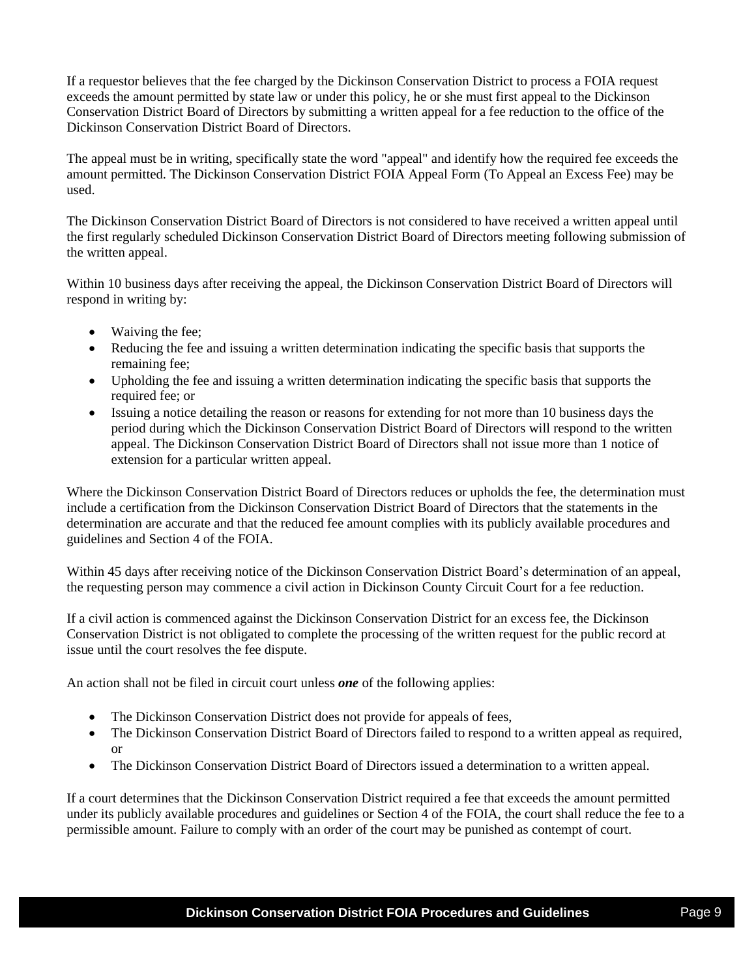If a requestor believes that the fee charged by the Dickinson Conservation District to process a FOIA request exceeds the amount permitted by state law or under this policy, he or she must first appeal to the Dickinson Conservation District Board of Directors by submitting a written appeal for a fee reduction to the office of the Dickinson Conservation District Board of Directors.

The appeal must be in writing, specifically state the word "appeal" and identify how the required fee exceeds the amount permitted. The Dickinson Conservation District FOIA Appeal Form (To Appeal an Excess Fee) may be used.

The Dickinson Conservation District Board of Directors is not considered to have received a written appeal until the first regularly scheduled Dickinson Conservation District Board of Directors meeting following submission of the written appeal.

Within 10 business days after receiving the appeal, the Dickinson Conservation District Board of Directors will respond in writing by:

- Waiving the fee:
- Reducing the fee and issuing a written determination indicating the specific basis that supports the remaining fee;
- Upholding the fee and issuing a written determination indicating the specific basis that supports the required fee; or
- Issuing a notice detailing the reason or reasons for extending for not more than 10 business days the period during which the Dickinson Conservation District Board of Directors will respond to the written appeal. The Dickinson Conservation District Board of Directors shall not issue more than 1 notice of extension for a particular written appeal.

Where the Dickinson Conservation District Board of Directors reduces or upholds the fee, the determination must include a certification from the Dickinson Conservation District Board of Directors that the statements in the determination are accurate and that the reduced fee amount complies with its publicly available procedures and guidelines and Section 4 of the FOIA.

Within 45 days after receiving notice of the Dickinson Conservation District Board's determination of an appeal, the requesting person may commence a civil action in Dickinson County Circuit Court for a fee reduction.

If a civil action is commenced against the Dickinson Conservation District for an excess fee, the Dickinson Conservation District is not obligated to complete the processing of the written request for the public record at issue until the court resolves the fee dispute.

An action shall not be filed in circuit court unless *one* of the following applies:

- The Dickinson Conservation District does not provide for appeals of fees,
- The Dickinson Conservation District Board of Directors failed to respond to a written appeal as required, or
- The Dickinson Conservation District Board of Directors issued a determination to a written appeal.

If a court determines that the Dickinson Conservation District required a fee that exceeds the amount permitted under its publicly available procedures and guidelines or Section 4 of the FOIA, the court shall reduce the fee to a permissible amount. Failure to comply with an order of the court may be punished as contempt of court.